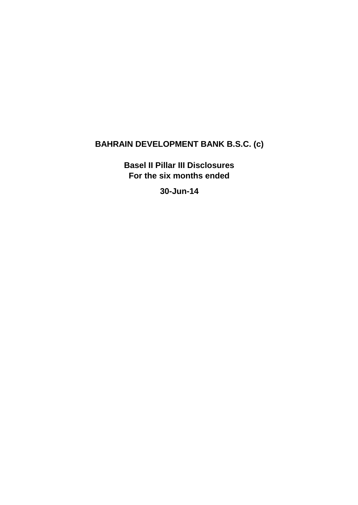# **BAHRAIN DEVELOPMENT BANK B.S.C. (c)**

**Basel II Pillar III Disclosures For the six months ended** 

**30-Jun-14**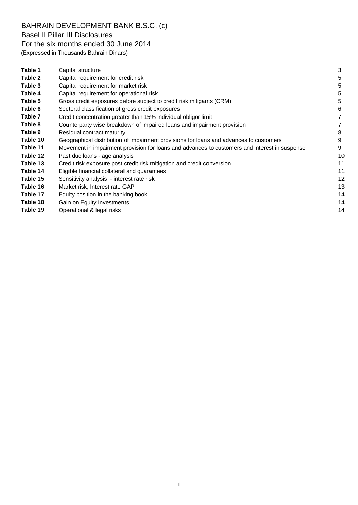# BAHRAIN DEVELOPMENT BANK B.S.C. (c)

### Basel II Pillar III Disclosures

## For the six months ended 30 June 2014

(Expressed in Thousands Bahrain Dinars)

| Table 1  | Capital structure                                                                             | 3  |
|----------|-----------------------------------------------------------------------------------------------|----|
| Table 2  | Capital requirement for credit risk                                                           | 5  |
| Table 3  | Capital requirement for market risk                                                           | 5  |
| Table 4  | Capital requirement for operational risk                                                      | 5  |
| Table 5  | Gross credit exposures before subject to credit risk mitigants (CRM)                          | 5  |
| Table 6  | Sectoral classification of gross credit exposures                                             | 6  |
| Table 7  | Credit concentration greater than 15% individual obligor limit                                | 7  |
| Table 8  | Counterparty wise breakdown of impaired loans and impairment provision                        |    |
| Table 9  | Residual contract maturity                                                                    | 8  |
| Table 10 | Geographical distribution of impairment provisions for loans and advances to customers        | 9  |
| Table 11 | Movement in impairment provision for loans and advances to customers and interest in suspense | 9  |
| Table 12 | Past due loans - age analysis                                                                 | 10 |
| Table 13 | Credit risk exposure post credit risk mitigation and credit conversion                        | 11 |
| Table 14 | Eligible financial collateral and guarantees                                                  | 11 |
| Table 15 | Sensitivity analysis - interest rate risk                                                     | 12 |
| Table 16 | Market risk, Interest rate GAP                                                                | 13 |
| Table 17 | Equity position in the banking book                                                           | 14 |
| Table 18 | Gain on Equity Investments                                                                    | 14 |
| Table 19 | Operational & legal risks                                                                     | 14 |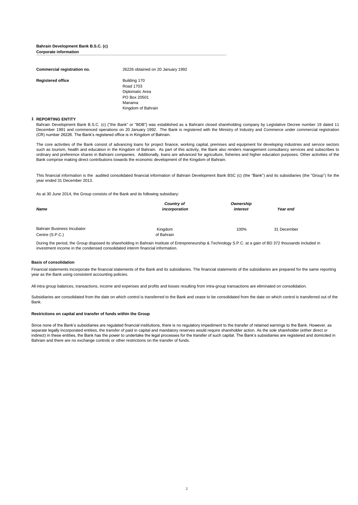#### **Bahrain Development Bank B.S.C. (c) Corporate information Corporate information**

| Commercial registration no. | 26226 obtained on 20 January 1992                                                            |
|-----------------------------|----------------------------------------------------------------------------------------------|
| <b>Registered office</b>    | Building 170<br>Road 1703<br>Diplomatic Area<br>PO Box 20501<br>Manama<br>Kingdom of Bahrain |

#### **1 REPORTING ENTITY**

Bahrain Development Bank B.S.C. (c) ("the Bank" or "BDB") was established as a Bahraini closed shareholding company by Legislative Decree number 19 dated 11 December 1991 and commenced operations on 20 January 1992. The Bank is registered with the Ministry of Industry and Commerce under commercial registration (CR) number 26226. The Bank"s registered office is in Kingdom of Bahrain.

The core activities of the Bank consist of advancing loans for project finance, working capital, premises and equipment for developing industries and service sectors such as tourism, health and education in the Kingdom of Bahrain. As part of this activity, the Bank also renders management consultancy services and subscribes to ordinary and preference shares in Bahraini companies. Additionally, loans are advanced for agriculture, fisheries and higher education purposes. Other activities of the Bank comprise making direct contributions towards the economic development of the Kingdom of Bahrain.

This financial information is the audited consolidated financial information of Bahrain Development Bank BSC (c) (the "Bank") and its subsidiaries (the "Group") for the year ended 31 December 2013.

As at 30 June 2014, the Group consists of the Bank and its following subsidiary:

| <b>Name</b>                                          | Country of<br>incorporation | Ownership<br>interest | Year end    |  |
|------------------------------------------------------|-----------------------------|-----------------------|-------------|--|
| <b>Bahrain Business Incubator</b><br>Centre (S.P.C.) | Kingdom<br>of Bahrain       | 100%                  | 31 December |  |

During the period, the Group disposed its shareholding in Bahrain Institute of Entrepreneurship & Technology S.P.C. at a gain of BD 372 thousands included in investment income in the condensed consolidated interim financial information.

### **Basis of consolidation**

Financial statements incorporate the financial statements of the Bank and its subsidiaries. The financial statements of the subsidiaries are prepared for the same reporting year as the Bank using consistent accounting policies.

All intra group balances, transactions, income and expenses and profits and losses resulting from intra-group transactions are eliminated on consolidation.

Subsidiaries are consolidated from the date on which control is transferred to the Bank and cease to be consolidated from the date on which control is transferred out of the Bank.

#### **Restrictions on capital and transfer of funds within the Group**

Since none of the Bank's subsidiaries are regulated financial institutions, there is no regulatory impediment to the transfer of retained earnings to the Bank. However, as separate legally incorporated entities, the transfer of paid in capital and mandatory reserves would require shareholder action. As the sole shareholder (either direct or indirect) in these entities, the Bank has the power to undertake the legal processes for the transfer of such capital. The Bank"s subsidiaries are registered and domiciled in Bahrain and there are no exchange controls or other restrictions on the transfer of funds.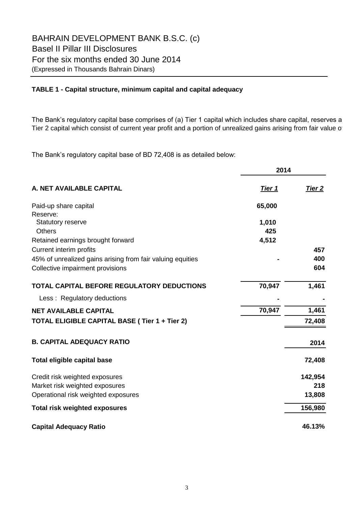### **TABLE 1 - Capital structure, minimum capital and capital adequacy**

The Bank's regulatory capital base comprises of (a) Tier 1 capital which includes share capital, reserves a Tier 2 capital which consist of current year profit and a portion of unrealized gains arising from fair value of

The Bank"s regulatory capital base of BD 72,408 is as detailed below:

|                                                            | 2014          |         |
|------------------------------------------------------------|---------------|---------|
| A. NET AVAILABLE CAPITAL                                   | <u>Tier 1</u> | Tier 2  |
| Paid-up share capital                                      | 65,000        |         |
| Reserve:                                                   |               |         |
| <b>Statutory reserve</b>                                   | 1,010         |         |
| <b>Others</b>                                              | 425           |         |
| Retained earnings brought forward                          | 4,512         |         |
| Current interim profits                                    |               | 457     |
| 45% of unrealized gains arising from fair valuing equities |               | 400     |
| Collective impairment provisions                           |               | 604     |
| TOTAL CAPITAL BEFORE REGULATORY DEDUCTIONS                 | 70,947        | 1,461   |
| Less: Regulatory deductions                                |               |         |
| <b>NET AVAILABLE CAPITAL</b>                               | 70,947        | 1,461   |
| TOTAL ELIGIBLE CAPITAL BASE (Tier 1 + Tier 2)              |               | 72,408  |
| <b>B. CAPITAL ADEQUACY RATIO</b>                           |               | 2014    |
| <b>Total eligible capital base</b>                         |               | 72,408  |
| Credit risk weighted exposures                             |               | 142,954 |
| Market risk weighted exposures                             |               | 218     |
| Operational risk weighted exposures                        |               | 13,808  |
| <b>Total risk weighted exposures</b>                       |               | 156,980 |
| <b>Capital Adequacy Ratio</b>                              |               | 46.13%  |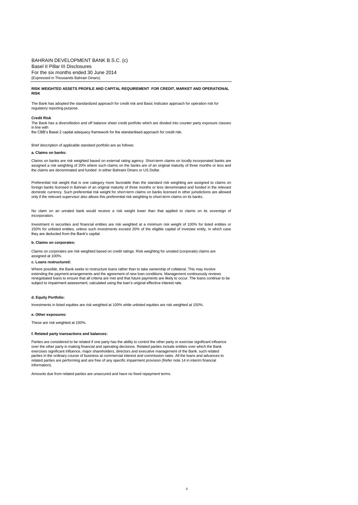#### **RISK WEIGHTED ASSETS PROFILE AND CAPITAL REQUIREMENT FOR CREDIT, MARKET AND OPERATIONAL RISK**

The Bank has adopted the standardized approach for credit risk and Basic Indicator approach for operation risk for regulatory reporting purpose.

#### **Credit Risk**

The Bank has a diversifiedon and off balance sheet credit portfolio which are divided into counter party exposure classes in line with

the CBB"s Basel 2 capital adequacy framework for the standardised approach for credit risk.

Brief description of applicable standard portfolio are as follows:

#### **a. Claims on banks:**

Claims on banks are risk weighted based on external rating agency. Short-term claims on locally incorporated banks are<br>assigned a risk weighting of 20% where such claims on the banks are of an original maturity of three mo the claims are denominated and funded in either Bahraini Dinars or US Dollar.

Preferential risk weight that is one category more favorable than the standard risk weighting are assigned to claims on<br>foreign banks licensed in Bahrain of an original maturity of three months or less denominated and fund domestic currency. Such preferential risk weight for short-term claims on banks licensed in other jurisdictions are allowed only if the relevant supervisor also allows this preferential risk weighting to short-term claims on its banks.

No claim on an unrated bank would receive a risk weight lower than that applied to claims on its sovereign of incorporation.

Investment in securities and financial entities are risk weighted at a minimum risk weight of 100% for listed entities or 150% for unlisted entities, unless such investments exceed 20% of the eligible capital of investee entity, in which case they are deducted from the Bank"s capital.

#### **b. Claims on corporates:**

Claims on corporates are risk weighted based on credit ratings. Risk weighting for unrated (corporate) claims are assigned at 100%.

#### **c. Loans restructured:**

Where possible, the Bank seeks to restructure loans rather than to take ownership of collateral. This may involve extending the payment arrangements and the agreement of new loan conditions. Management continuously reviews renegotiated loans to ensure that all criteria are met and that future payments are likely to occur. The loans continue to be subject to impairment assessment, calculated using the loan's original effective interest rate.

#### **d. Equity Portfolio:**

Investments in listed equities are risk weighted at 100% while unlisted equities are risk weighted at 150%.

#### **e. Other exposures:**

These are risk weighted at 100%.

#### **f. Related party transactions and balances:**

Parties are considered to be related if one party has the ability to control the other party or exercise significant influence over the other party in making financial and operating decisions. Related parties include entities over which the Bank exercises significant influence, major shareholders, directors and executive management of the Bank. such related parties in the ordinary course of business at commercial interest and commission rates. All the loans and advances to related parties are performing and are free of any specific impairment provision (Refer note 14 in interim financial information).

Amounts due from related parties are unsecured and have no fixed repayment terms.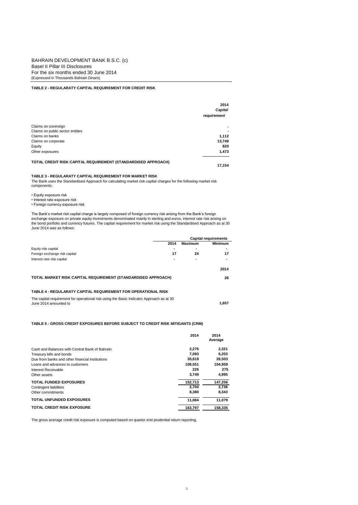#### **TABLE 2 - REGULARATY CAPITAL REQUIREMENT FOR CREDIT RISK**

|                                                               | 2014<br>Capital<br>requirement |
|---------------------------------------------------------------|--------------------------------|
| Claims on sovereign                                           | ۰                              |
| Claims on public sector entities                              | $\overline{\phantom{a}}$       |
| Claims on banks                                               | 1,112                          |
| Claims on corporate                                           | 13,749                         |
| Equity                                                        | 820                            |
| Other exposures                                               | 1,473                          |
| TOTAL CREDIT RISK CAPITAL REQUIREMENT (STANDARDISED APPROACH) | 17.154                         |

#### **TABLE 3 - REGULARATY CAPITAL REQUIREMENT FOR MARKET RISK**

The Bank uses the Standardised Approach for calculating market risk capital charges for the following market risk components:

- Equity exposure risk
- Interest rate exposure risk

• Foreign currency exposure risk

The Bank"s market risk capital charge is largely composed of foreign currency risk arising from the Bank"s foreign exchange exposure on private equity investments denominated mainly in sterling and euros, interest rate risk arising on<br>the bond portfolio and currency futures. The capital requirement for market risk using the Standardise June 2014 was as follows:

|                                                                                                                   |      |         | <b>Capital requirements</b> |
|-------------------------------------------------------------------------------------------------------------------|------|---------|-----------------------------|
|                                                                                                                   | 2014 | Maximum | <b>Minimum</b>              |
| Equity risk capital                                                                                               |      | ٠       |                             |
| Foreign exchange risk capital                                                                                     | 17   | 24      | 17                          |
| Interest rate risk capital                                                                                        |      |         |                             |
|                                                                                                                   |      |         | 2014                        |
| TOTAL MARKET RISK CAPITAL REQUIREMENT (STANDARDISED APPROACH)                                                     |      |         | 26                          |
| TABLE 4 - REGULARATY CAPITAL REQUIREMENT FOR OPERATIONAL RISK                                                     |      |         |                             |
| The capital requirement for operational risk using the Basic Indicator Approach as at 30<br>June 2014 amounted to |      |         | 1.657                       |

### **TABLE 5 - GROSS CREDIT EXPOSURES BEFORE SUBJECT TO CREDIT RISK MITIGANTS (CRM)**

|                                                 | 2014    | 2014<br>Average |
|-------------------------------------------------|---------|-----------------|
| Cash and Balances with Central Bank of Bahrain  | 2.276   | 2,321           |
| Treasury bills and bonds                        | 7.093   | 6.203           |
| Due from banks and other financial institutions | 30,818  | 28,503          |
| Loans and advances to customers                 | 108.551 | 104,959         |
| Interest Receivable                             | 226     | 275             |
| Other assets                                    | 3,749   | 4,995           |
| <b>TOTAL FUNDED EXPOSURES</b>                   | 152,713 | 147,256         |
| Contingent liabilities                          | 2,704   | 2,736           |
| Other commitments                               | 8.380   | 8.343           |
| <b>TOTAL UNFUNDED EXPOSURES</b>                 | 11.084  | 11,079          |
| <b>TOTAL CREDIT RISK EXPOSURE</b>               | 163,797 | 158,335         |

The gross average credit risk exposure is computed based on quarter end prudential return reporting.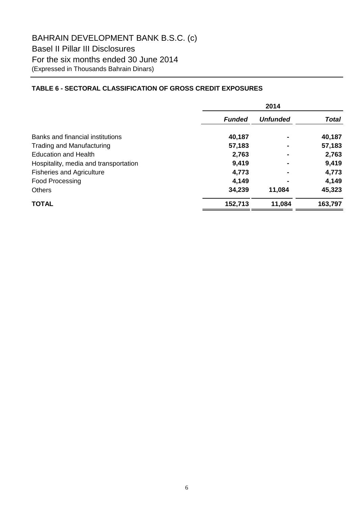## **TABLE 6 - SECTORAL CLASSIFICATION OF GROSS CREDIT EXPOSURES**

|                                       | 2014          |                 |              |  |
|---------------------------------------|---------------|-----------------|--------------|--|
|                                       | <b>Funded</b> | <b>Unfunded</b> | <b>Total</b> |  |
| Banks and financial institutions      | 40,187        |                 | 40,187       |  |
| <b>Trading and Manufacturing</b>      | 57,183        |                 | 57,183       |  |
| <b>Education and Health</b>           | 2,763         |                 | 2,763        |  |
| Hospitality, media and transportation | 9,419         |                 | 9,419        |  |
| <b>Fisheries and Agriculture</b>      | 4,773         |                 | 4,773        |  |
| <b>Food Processing</b>                | 4,149         |                 | 4,149        |  |
| <b>Others</b>                         | 34,239        | 11,084          | 45,323       |  |
| <b>TOTAL</b>                          | 152,713       | 11,084          | 163,797      |  |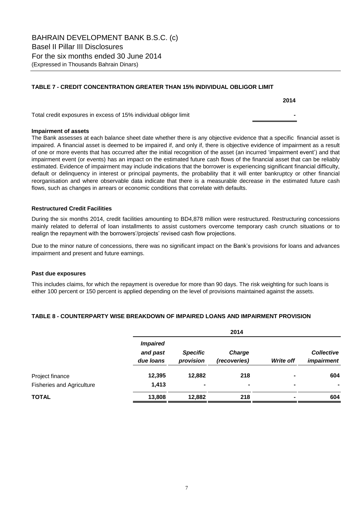### **TABLE 7 - CREDIT CONCENTRATION GREATER THAN 15% INDIVIDUAL OBLIGOR LIMIT**

Total credit exposures in excess of 15% individual obligor limit **-** 

### **Impairment of assets**

The Bank assesses at each balance sheet date whether there is any objective evidence that a specific financial asset is impaired. A financial asset is deemed to be impaired if, and only if, there is objective evidence of impairment as a result of one or more events that has occurred after the initial recognition of the asset (an incurred "impairment event") and that impairment event (or events) has an impact on the estimated future cash flows of the financial asset that can be reliably estimated. Evidence of impairment may include indications that the borrower is experiencing significant financial difficulty, default or delinquency in interest or principal payments, the probability that it will enter bankruptcy or other financial reorganisation and where observable data indicate that there is a measurable decrease in the estimated future cash flows, such as changes in arrears or economic conditions that correlate with defaults.

### **Restructured Credit Facilities**

During the six months 2014, credit facilities amounting to BD4,878 million were restructured. Restructuring concessions mainly related to deferral of loan installments to assist customers overcome temporary cash crunch situations or to realign the repayment with the borrowers'/projects' revised cash flow projections.

Due to the minor nature of concessions, there was no significant impact on the Bank"s provisions for loans and advances impairment and present and future earnings.

### **Past due exposures**

This includes claims, for which the repayment is overedue for more than 90 days. The risk weighting for such loans is either 100 percent or 150 percent is applied depending on the level of provisions maintained against the assets.

### **TABLE 8 - COUNTERPARTY WISE BREAKDOWN OF IMPAIRED LOANS AND IMPAIRMENT PROVISION**

|                                  |                                          |                              | 2014                          |                |                                        |
|----------------------------------|------------------------------------------|------------------------------|-------------------------------|----------------|----------------------------------------|
|                                  | <b>Impaired</b><br>and past<br>due loans | <b>Specific</b><br>provision | <b>Charge</b><br>(recoveries) | Write off      | <b>Collective</b><br><i>impairment</i> |
| Project finance                  | 12,395                                   | 12,882                       | 218                           | $\blacksquare$ | 604                                    |
| <b>Fisheries and Agriculture</b> | 1,413                                    | ۰                            | ۰                             | ۰              | ٠                                      |
| <b>TOTAL</b>                     | 13,808                                   | 12,882                       | 218                           | -              | 604                                    |

7

**2014**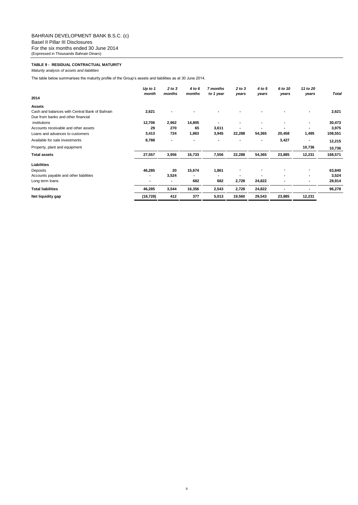### **TABLE 9 - RESIDUAL CONTRACTUAL MATURITY**

*Maturity analysis of assets and liabilities*

The table below summarises the maturity profile of the Group's assets and liabilities as at 30 June 2014.

|                                                | Up to $1$<br>month | 2 to 3<br>months         | 4 to 6<br>months | 7 months<br>to 1 year | 2 to 3<br>years | 4 to 5<br>years | 6 to 10<br>years | 11 to 20<br>years | <b>Total</b> |
|------------------------------------------------|--------------------|--------------------------|------------------|-----------------------|-----------------|-----------------|------------------|-------------------|--------------|
| 2014                                           |                    |                          |                  |                       |                 |                 |                  |                   |              |
| <b>Assets</b>                                  |                    |                          |                  |                       |                 |                 |                  |                   |              |
| Cash and balances with Central Bank of Bahrain | 2,621              |                          |                  |                       |                 |                 |                  |                   | 2,621        |
| Due from banks and other financial             |                    |                          |                  |                       |                 |                 |                  |                   |              |
| institutions                                   | 12,706             | 2,962                    | 14,805           |                       |                 | $\blacksquare$  |                  |                   | 30,473       |
| Accounts receivable and other assets           | 29                 | 270                      | 65               | 3,611                 |                 |                 |                  |                   | 3,975        |
| Loans and advances to customers                | 3,413              | 724                      | 1,863            | 3,945                 | 22,288          | 54,365          | 20,458           | 1,495             | 108,551      |
| Available for sale investments                 | 8,788              | $\overline{\phantom{a}}$ |                  |                       |                 |                 | 3,427            |                   | 12,215       |
| Property, plant and equipment                  |                    |                          |                  |                       |                 |                 |                  | 10,736            | 10,736       |
| <b>Total assets</b>                            | 27,557             | 3,956                    | 16,733           | 7,556                 | 22,288          | 54,365          | 23,885           | 12,231            | 168,571      |
| <b>Liabilities</b>                             |                    |                          |                  |                       |                 |                 |                  |                   |              |
| Deposits                                       | 46,285             | 20                       | 15,674           | 1,861                 |                 |                 |                  |                   | 63,840       |
| Accounts payable and other liabilities         | $\blacksquare$     | 3,524                    |                  |                       |                 |                 |                  |                   | 3,524        |
| Long term loans                                | ۰                  |                          | 682              | 682                   | 2,728           | 24,822          |                  | ٠                 | 28,914       |
| <b>Total liabilities</b>                       | 46,285             | 3,544                    | 16,356           | 2,543                 | 2,728           | 24,822          |                  |                   | 96,278       |
| Net liquidity gap                              | (18, 728)          | 412                      | 377              | 5,013                 | 19,560          | 29,543          | 23,885           | 12,231            |              |

8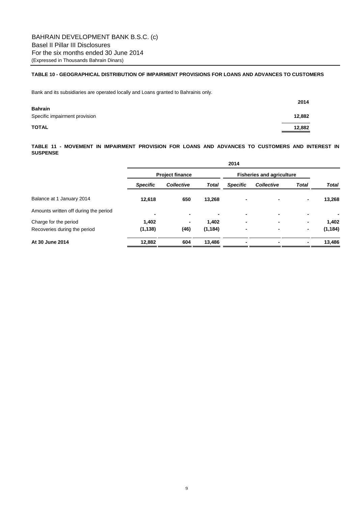### **TABLE 10 - GEOGRAPHICAL DISTRIBUTION OF IMPAIRMENT PROVISIONS FOR LOANS AND ADVANCES TO CUSTOMERS**

Bank and its subsidiaries are operated locally and Loans granted to Bahrainis only.

|                               | 2014   |
|-------------------------------|--------|
| <b>Bahrain</b>                |        |
| Specific impairment provision | 12,882 |
| <b>TOTAL</b>                  | 12,882 |

**TABLE 11 - MOVEMENT IN IMPAIRMENT PROVISION FOR LOANS AND ADVANCES TO CUSTOMERS AND INTEREST IN SUSPENSE**

|                                       | 2014                   |            |                |                                  |                   |              |              |
|---------------------------------------|------------------------|------------|----------------|----------------------------------|-------------------|--------------|--------------|
|                                       | <b>Project finance</b> |            |                | <b>Fisheries and agriculture</b> |                   |              |              |
|                                       | <b>Specific</b>        | Collective | <b>Total</b>   | <b>Specific</b>                  | <b>Collective</b> | <b>Total</b> | <b>Total</b> |
| Balance at 1 January 2014             | 12,618                 | 650        | 13,268         |                                  |                   | ٠            | 13,268       |
| Amounts written off during the period |                        | ٠          | $\blacksquare$ |                                  |                   | ۰            |              |
| Charge for the period                 | 1,402                  | ٠          | 1,402          | -                                |                   | ٠            | 1,402        |
| Recoveries during the period          | (1, 138)               | (46)       | (1, 184)       | ٠                                | ۰                 | ٠            | (1, 184)     |
| At 30 June 2014                       | 12,882                 | 604        | 13,486         |                                  |                   | ۰.           | 13,486       |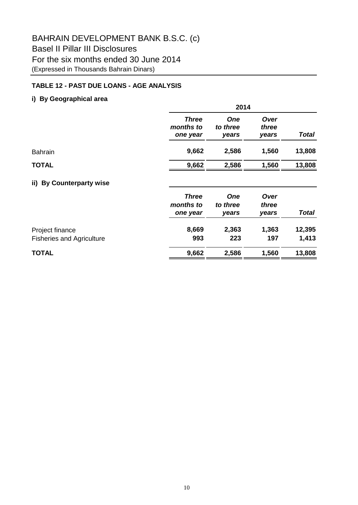## **TABLE 12 - PAST DUE LOANS - AGE ANALYSIS**

## **i) By Geographical area**

|                                                     | 2014                                  |                                 |                        |                 |  |  |
|-----------------------------------------------------|---------------------------------------|---------------------------------|------------------------|-----------------|--|--|
|                                                     | <b>Three</b><br>months to<br>one year | <b>One</b><br>to three<br>years | Over<br>three<br>years | <b>Total</b>    |  |  |
| <b>Bahrain</b>                                      | 9,662                                 | 2,586                           | 1,560                  | 13,808          |  |  |
| <b>TOTAL</b>                                        | 9,662                                 | 2,586                           | 1,560                  | 13,808          |  |  |
| <b>By Counterparty wise</b><br>ii)                  |                                       |                                 |                        |                 |  |  |
|                                                     | <b>Three</b><br>months to<br>one year | <b>One</b><br>to three<br>years | Over<br>three<br>years | <b>Total</b>    |  |  |
| Project finance<br><b>Fisheries and Agriculture</b> | 8,669<br>993                          | 2,363<br>223                    | 1,363<br>197           | 12,395<br>1,413 |  |  |

# **TOTAL 9,662 2,586 1,560 13,808**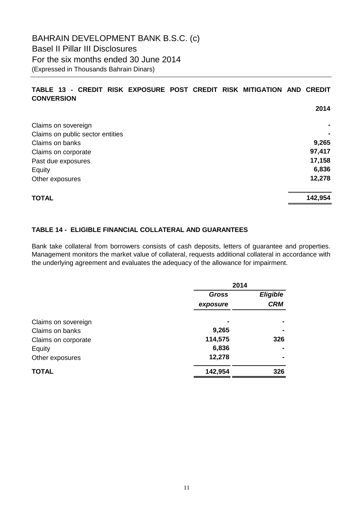## **TABLE 13 - CREDIT RISK EXPOSURE POST CREDIT RISK MITIGATION AND CREDIT CONVERSION**

|                                  | 2014    |
|----------------------------------|---------|
| Claims on sovereign              | ۰       |
| Claims on public sector entities |         |
| Claims on banks                  | 9,265   |
| Claims on corporate              | 97,417  |
| Past due exposures               | 17,158  |
| Equity                           | 6,836   |
| Other exposures                  | 12,278  |
| <b>TOTAL</b>                     | 142,954 |

## **TABLE 14 - ELIGIBLE FINANCIAL COLLATERAL AND GUARANTEES**

Bank take collateral from borrowers consists of cash deposits, letters of guarantee and properties. Management monitors the market value of collateral, requests additional collateral in accordance with the underlying agreement and evaluates the adequacy of the allowance for impairment.

|                     | 2014         |                 |
|---------------------|--------------|-----------------|
|                     | <b>Gross</b> | <b>Eligible</b> |
|                     | exposure     | <b>CRM</b>      |
| Claims on sovereign |              |                 |
| Claims on banks     | 9,265        | $\blacksquare$  |
| Claims on corporate | 114,575      | 326             |
| Equity              | 6,836        |                 |
| Other exposures     | 12,278       | $\blacksquare$  |
| <b>TOTAL</b>        | 142,954      | 326             |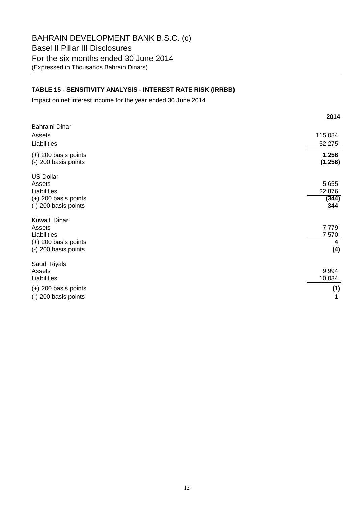### **TABLE 15 - SENSITIVITY ANALYSIS - INTEREST RATE RISK (IRRBB)**

Impact on net interest income for the year ended 30 June 2014

|                                                                                                 | 2014                            |
|-------------------------------------------------------------------------------------------------|---------------------------------|
| <b>Bahraini Dinar</b><br>Assets<br>Liabilities                                                  | 115,084<br>52,275               |
| $(+)$ 200 basis points<br>(-) 200 basis points                                                  | 1,256<br>(1, 256)               |
| <b>US Dollar</b><br>Assets<br>Liabilities<br>$(+)$ 200 basis points<br>(-) 200 basis points     | 5,655<br>22,876<br>(344)<br>344 |
| <b>Kuwaiti Dinar</b><br>Assets<br>Liabilities<br>$(+)$ 200 basis points<br>(-) 200 basis points | 7,779<br>7,570<br>4<br>(4)      |
| Saudi Riyals<br>Assets<br>Liabilities<br>$(+)$ 200 basis points                                 | 9,994<br>10,034<br>(1)          |
| (-) 200 basis points                                                                            | 1                               |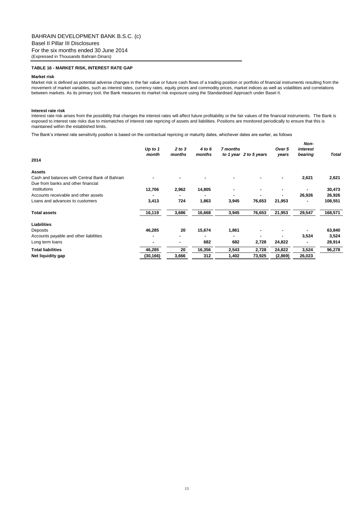#### **TABLE 16 - MARKET RISK, INTEREST RATE GAP**

### **Market risk**

Market risk is defined as potential adverse changes in the fair value or future cash flows of a trading position or portfolio of financial instruments resulting from the movement of market variables, such as interest rates, currency rates, equity prices and commodity prices, market indices as well as volatilities and correlations between markets. As its primary tool, the Bank measures its market risk exposure using the Standardised Approach under Basel II.

#### **Interest rate risk**

Interest rate risk arises from the possibility that changes the interest rates will affect future profitability or the fair values of the financial instruments. The Bank is exposed to interest rate risks due to mismatches of interest rate repricing of assets and liabilities. Positions are monitored periodically to ensure that this is maintained within the established limits.

The Bank"s interest rate sensitivity position is based on the contractual repricing or maturity dates, whichever dates are earlier, as follows

| 2014                                           | Up to $1$<br>month | 2 to 3<br>months | 4 to 6<br>months | 7 months<br>to 1 year 2 to 5 years |        | Over 5<br>years | Non-<br>interest<br>bearing | Total   |
|------------------------------------------------|--------------------|------------------|------------------|------------------------------------|--------|-----------------|-----------------------------|---------|
| <b>Assets</b>                                  |                    |                  |                  |                                    |        |                 |                             |         |
| Cash and balances with Central Bank of Bahrain |                    |                  |                  |                                    |        | ٠               | 2,621                       | 2,621   |
| Due from banks and other financial             |                    |                  |                  |                                    |        |                 |                             |         |
| institutions                                   | 12,706             | 2,962            | 14,805           |                                    |        | ٠               | ٠                           | 30,473  |
| Accounts receivable and other assets           |                    |                  |                  |                                    |        |                 | 26,926                      | 26,926  |
| Loans and advances to customers                | 3,413              | 724              | 1,863            | 3,945                              | 76,653 | 21,953          | ۰                           | 108,551 |
| <b>Total assets</b>                            | 16,119             | 3,686            | 16,668           | 3,945                              | 76,653 | 21,953          | 29,547                      | 168,571 |
| <b>Liabilities</b>                             |                    |                  |                  |                                    |        |                 |                             |         |
| Deposits                                       | 46,285             | 20               | 15,674           | 1,861                              |        |                 |                             | 63,840  |
| Accounts payable and other liabilities         | ۰                  |                  |                  | ۰                                  |        |                 | 3,524                       | 3,524   |
| Long term loans                                |                    |                  | 682              | 682                                | 2,728  | 24,822          |                             | 28,914  |
| <b>Total liabilities</b>                       | 46,285             | 20               | 16,356           | 2,543                              | 2,728  | 24,822          | 3,524                       | 96,278  |
| Net liquidity gap                              | (30,166)           | 3,666            | 312              | 1,402                              | 73,925 | (2,869)         | 26,023                      |         |
|                                                |                    |                  |                  |                                    |        |                 |                             |         |